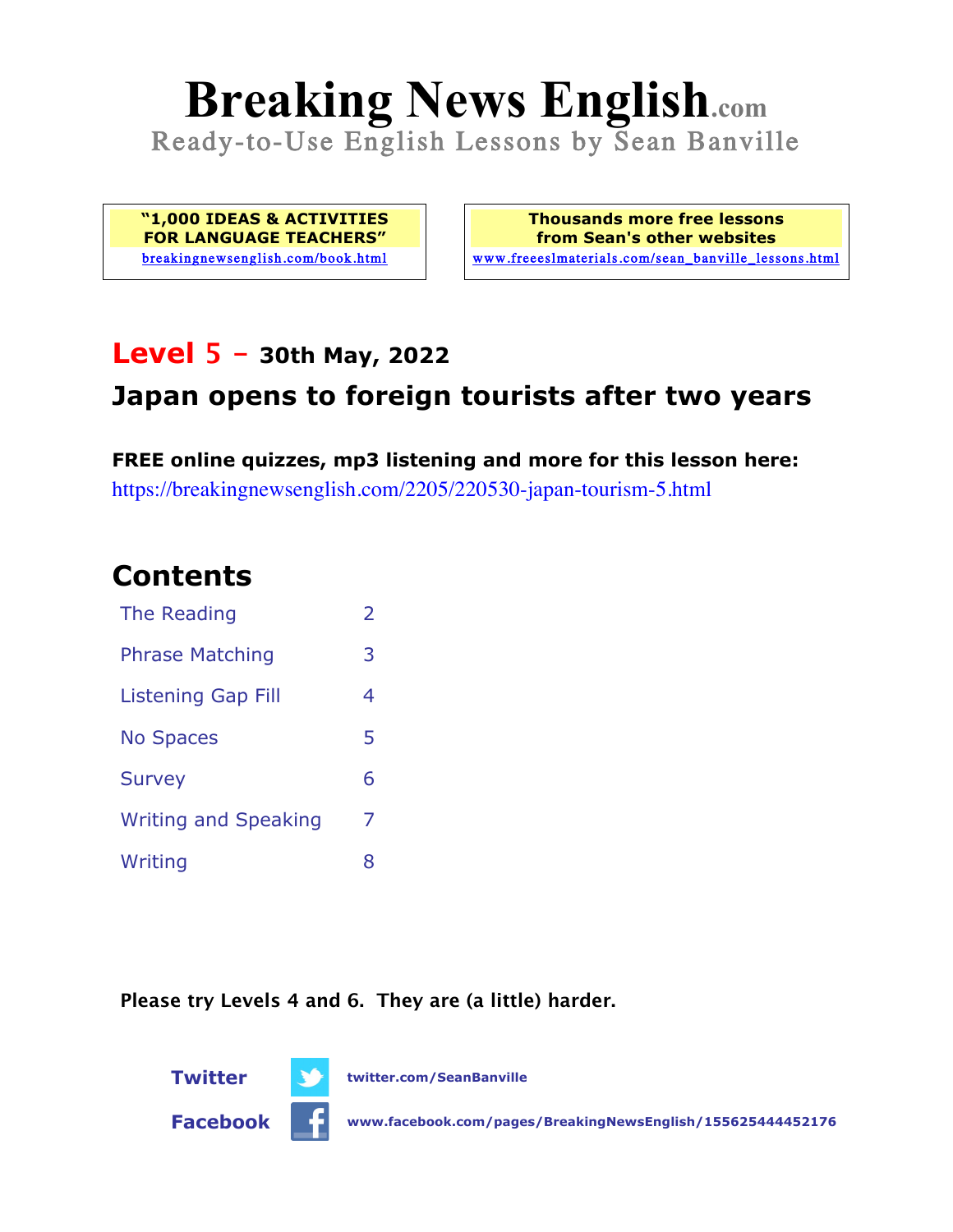# **Breaking News English.com**

Ready-to-Use English Lessons by Sean Banville

**"1,000 IDEAS & ACTIVITIES FOR LANGUAGE TEACHERS"** breakingnewsenglish.com/book.html

**Thousands more free lessons from Sean's other websites** www.freeeslmaterials.com/sean\_banville\_lessons.html

## **Level 5 - 30th May, 2022**

### **Japan opens to foreign tourists after two years**

**FREE online quizzes, mp3 listening and more for this lesson here:** https://breakingnewsenglish.com/2205/220530-japan-tourism-5.html

## **Contents**

| The Reading                 | $\overline{2}$ |
|-----------------------------|----------------|
| <b>Phrase Matching</b>      | 3              |
| <b>Listening Gap Fill</b>   | 4              |
| <b>No Spaces</b>            | 5              |
| <b>Survey</b>               | 6              |
| <b>Writing and Speaking</b> | 7              |
| Writing                     | 8              |

**Please try Levels 4 and 6. They are (a little) harder.**



**Facebook www.facebook.com/pages/BreakingNewsEnglish/155625444452176**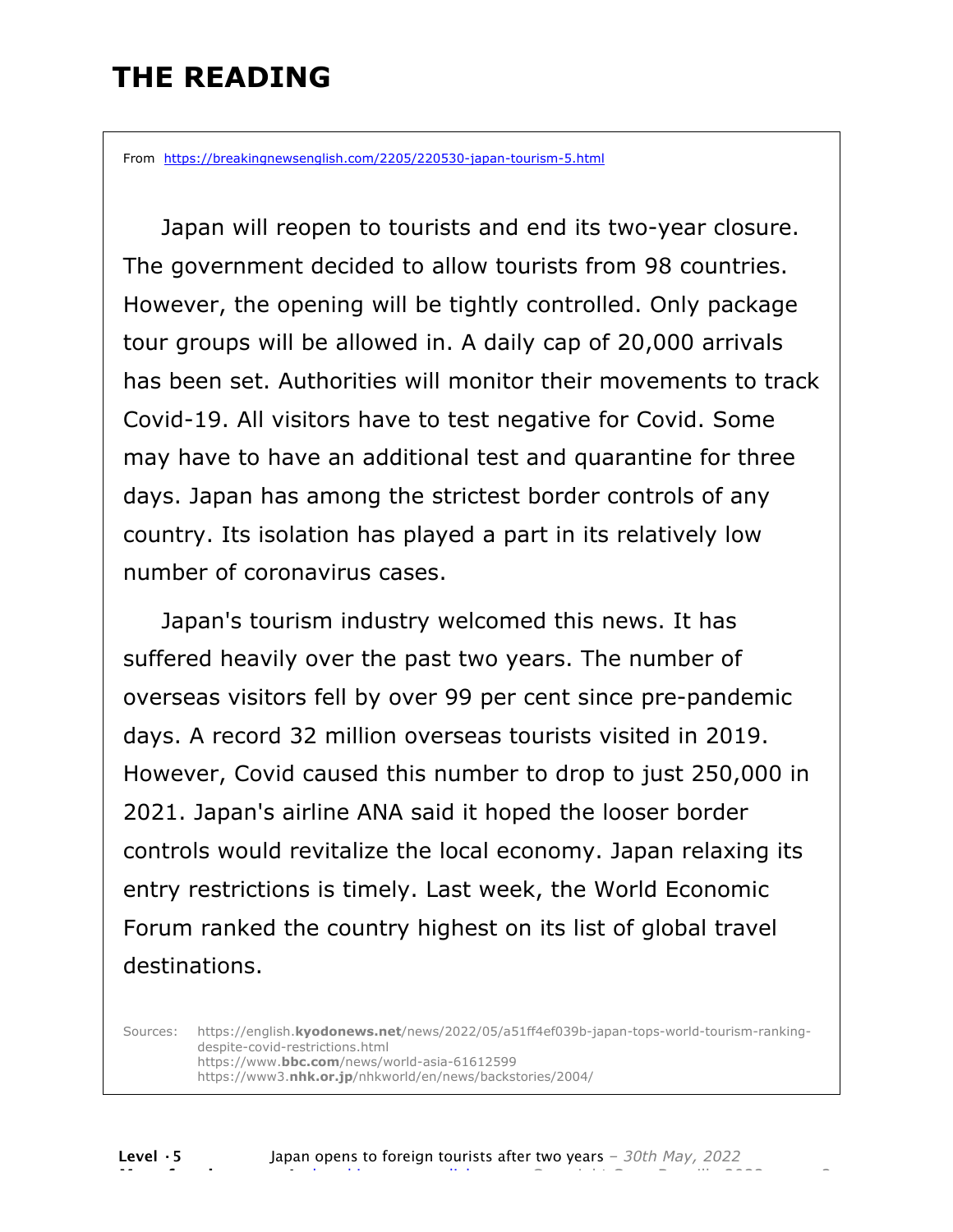## **THE READING**

From https://breakingnewsenglish.com/2205/220530-japan-tourism-5.html

 Japan will reopen to tourists and end its two-year closure. The government decided to allow tourists from 98 countries. However, the opening will be tightly controlled. Only package tour groups will be allowed in. A daily cap of 20,000 arrivals has been set. Authorities will monitor their movements to track Covid-19. All visitors have to test negative for Covid. Some may have to have an additional test and quarantine for three days. Japan has among the strictest border controls of any country. Its isolation has played a part in its relatively low number of coronavirus cases.

 Japan's tourism industry welcomed this news. It has suffered heavily over the past two years. The number of overseas visitors fell by over 99 per cent since pre-pandemic days. A record 32 million overseas tourists visited in 2019. However, Covid caused this number to drop to just 250,000 in 2021. Japan's airline ANA said it hoped the looser border controls would revitalize the local economy. Japan relaxing its entry restrictions is timely. Last week, the World Economic Forum ranked the country highest on its list of global travel destinations.

Sources: https://english.**kyodonews.net**/news/2022/05/a51ff4ef039b-japan-tops-world-tourism-rankingdespite-covid-restrictions.html https://www.**bbc.com**/news/world-asia-61612599 https://www3.**nhk.or.jp**/nhkworld/en/news/backstories/2004/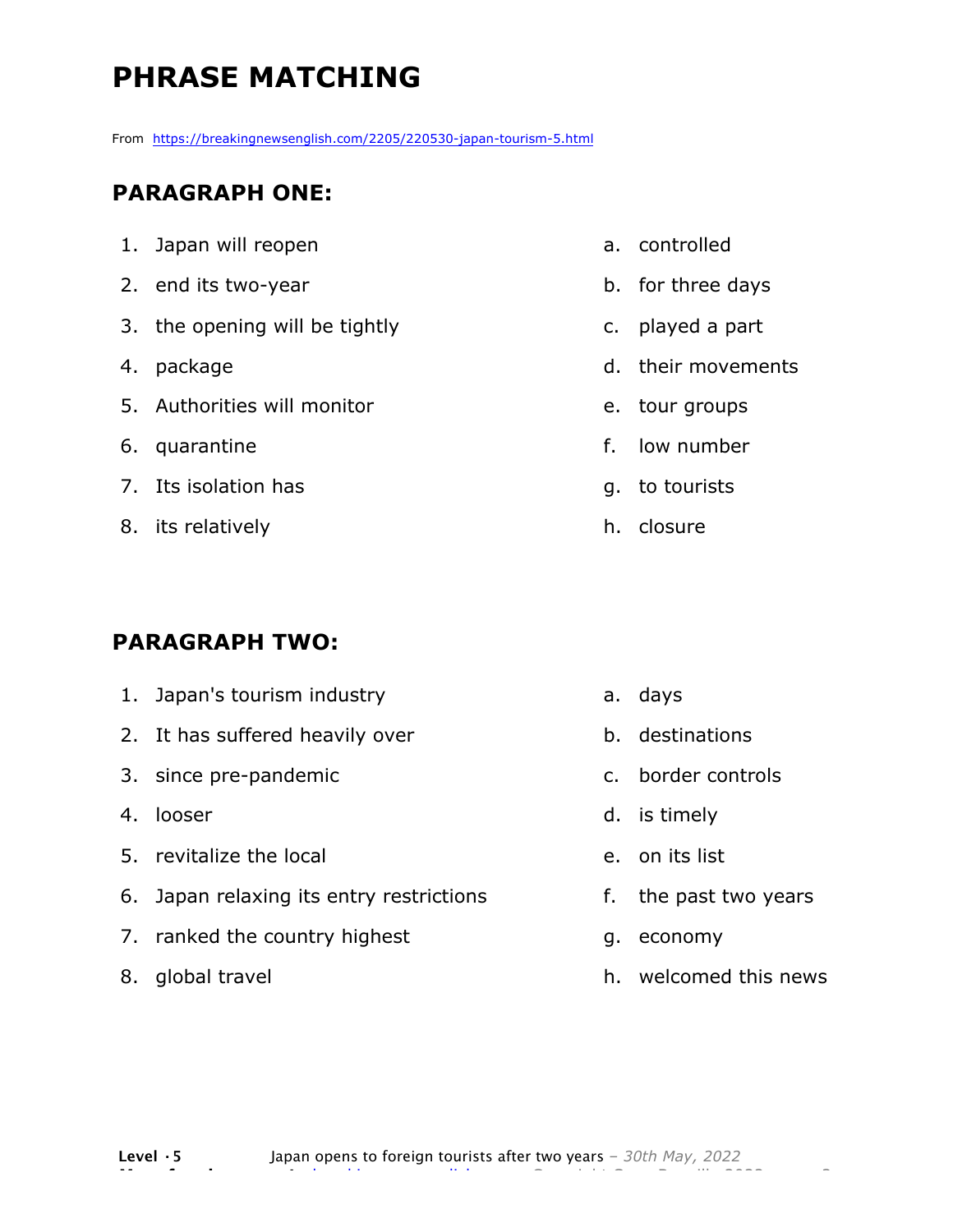# **PHRASE MATCHING**

From https://breakingnewsenglish.com/2205/220530-japan-tourism-5.html

#### **PARAGRAPH ONE:**

| 1. Japan will reopen           | a.             |  |
|--------------------------------|----------------|--|
| 2. end its two-year            | b.             |  |
| 3. the opening will be tightly | $\mathsf{C}$ . |  |
| 4. package                     | d.             |  |
| 5. Authorities will monitor    | e.             |  |
| 6. quarantine                  | f.             |  |
| 7. Its isolation has           | g.             |  |
| 8. its relatively              | h.             |  |

#### **PARAGRAPH TWO:**

| 1. Japan's tourism industry              |
|------------------------------------------|
| 2. It has suffered heavily over          |
| 3. since pre-pandemic                    |
| 4. looser                                |
| 5. revitalize the local                  |
| 6. Japan relaxing its entry restrictions |
| 7. ranked the country highest            |
| 8. global travel                         |

- controlled
- for three days
- played a part
- their movements
- tour groups
- low number
- to tourists
- closure

- a. days
- b. destinations
- c. border controls
- d. is timely
- e. on its list
- f. the past two years
- g. economy
- h. welcomed this news

**Level ·5** Japan opens to foreign tourists after two years *– 30th May, 2022* **More free lessons at** breakingnewsenglish.com - Copyright Sean Banville 2022 3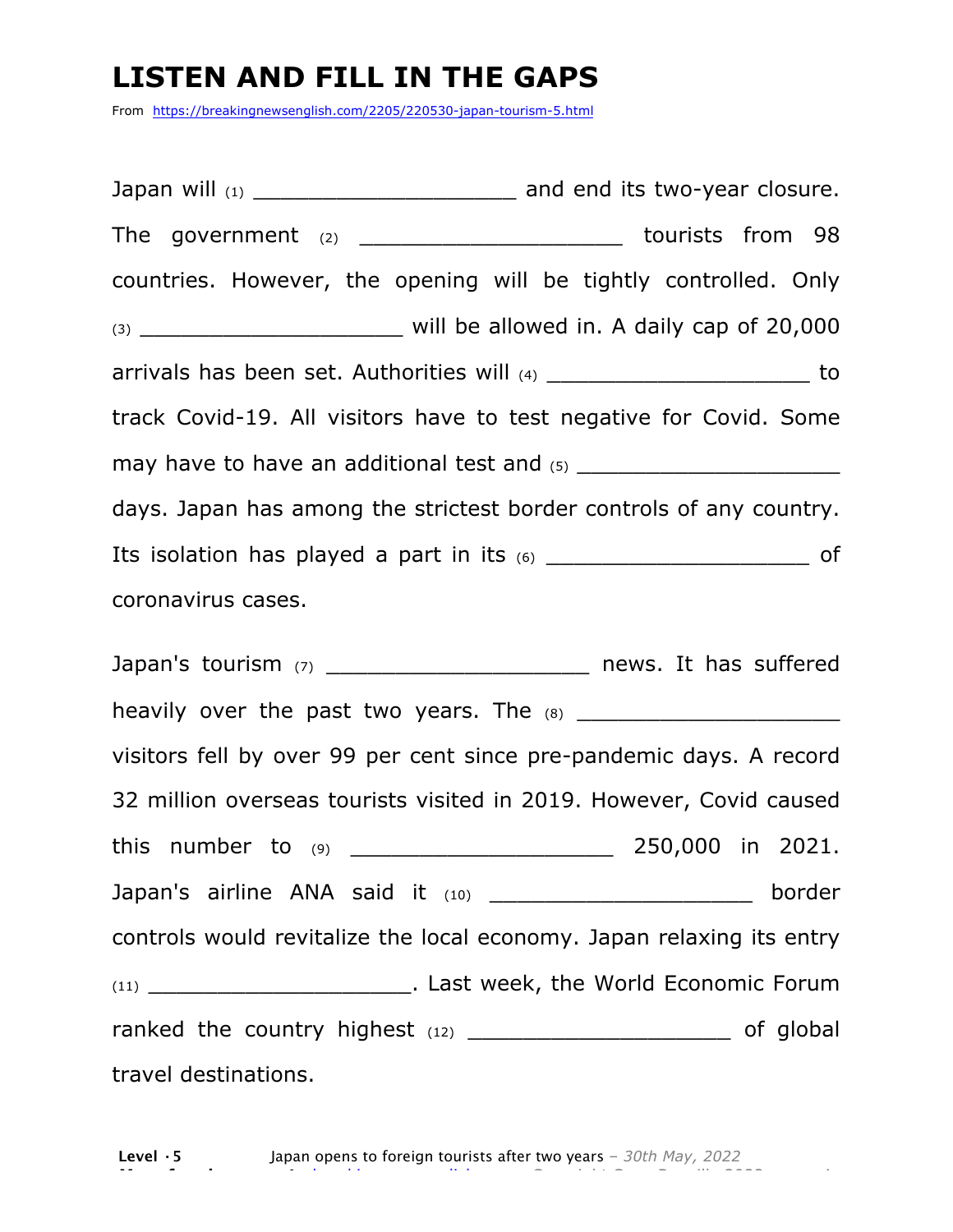## **LISTEN AND FILL IN THE GAPS**

From https://breakingnewsenglish.com/2205/220530-japan-tourism-5.html

Japan will (1)  $\qquad \qquad$  and end its two-year closure. The government  $(2)$  \_\_\_\_\_\_\_\_\_\_\_\_\_\_\_\_\_\_\_\_\_\_\_\_ tourists from 98 countries. However, the opening will be tightly controlled. Only (3) \_\_\_\_\_\_\_\_\_\_\_\_\_\_\_\_\_\_\_ will be allowed in. A daily cap of 20,000 arrivals has been set. Authorities will (4) \_\_\_\_\_\_\_\_\_\_\_\_\_\_\_\_\_\_\_\_\_\_\_\_ to track Covid-19. All visitors have to test negative for Covid. Some may have to have an additional test and  $(5)$ days. Japan has among the strictest border controls of any country. Its isolation has played a part in its (6) \_\_\_\_\_\_\_\_\_\_\_\_\_\_\_\_\_\_\_\_\_\_\_\_\_\_\_\_\_\_ of coronavirus cases.

Japan's tourism (7) \_\_\_\_\_\_\_\_\_\_\_\_\_\_\_\_\_\_\_\_\_\_\_\_\_\_ news. It has suffered heavily over the past two years. The (8) \_\_\_\_\_\_\_\_\_\_\_\_\_\_\_\_\_\_\_ visitors fell by over 99 per cent since pre-pandemic days. A record 32 million overseas tourists visited in 2019. However, Covid caused this number to  $(9)$  250,000 in 2021. Japan's airline ANA said it (10) \_\_\_\_\_\_\_\_\_\_\_\_\_\_\_\_\_\_\_\_\_\_\_\_\_ border controls would revitalize the local economy. Japan relaxing its entry (11) \_\_\_\_\_\_\_\_\_\_\_\_\_\_\_\_\_\_\_. Last week, the World Economic Forum ranked the country highest  $(12)$  \_\_\_\_\_\_\_\_\_\_\_\_\_\_\_\_\_\_\_\_\_\_\_\_\_\_ of global travel destinations.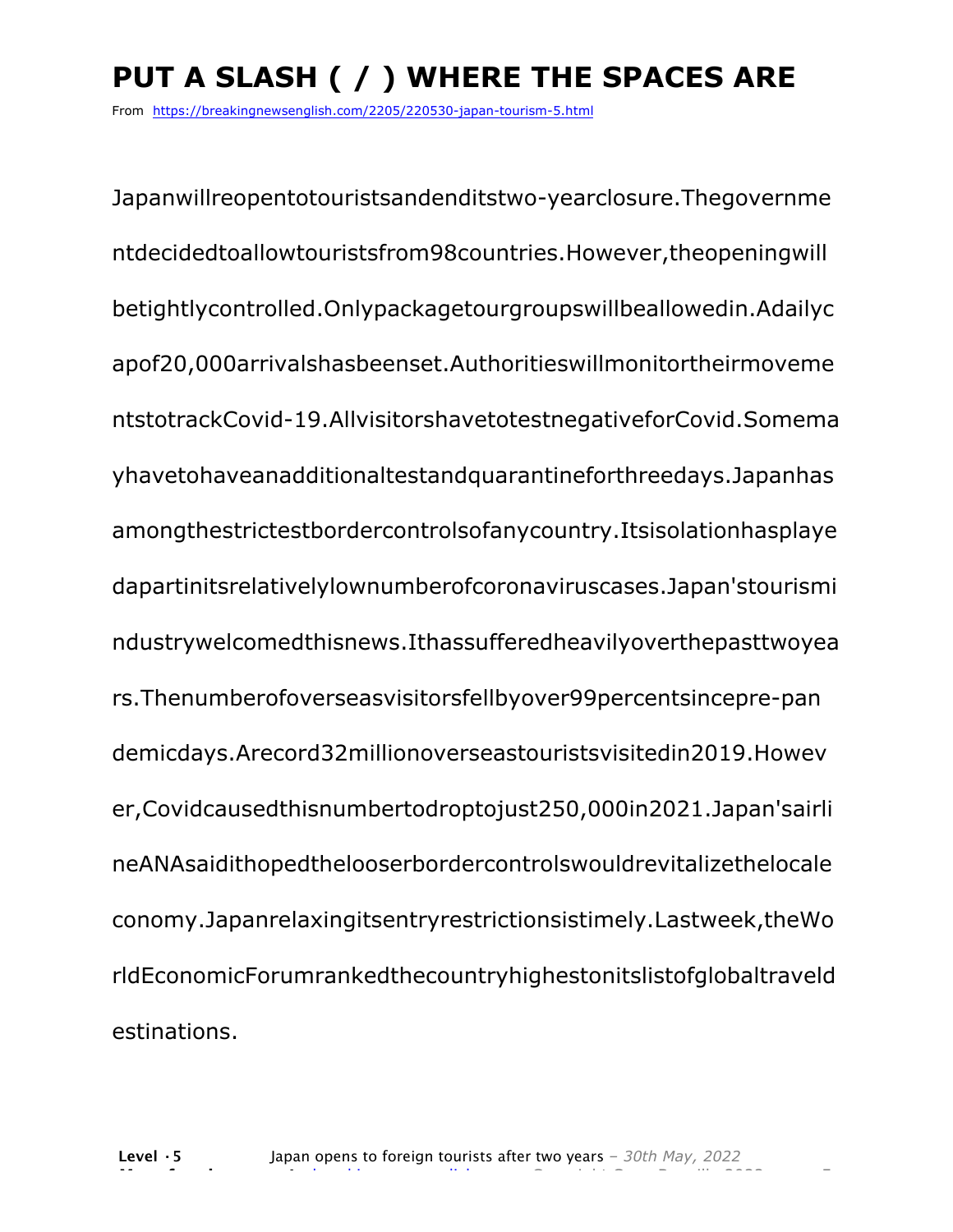# **PUT A SLASH ( / ) WHERE THE SPACES ARE**

From https://breakingnewsenglish.com/2205/220530-japan-tourism-5.html

Japanwillreopentotouristsandenditstwo-yearclosure.Thegovernme ntdecidedtoallowtouristsfrom98countries.However,theopeningwill betightlycontrolled.Onlypackagetourgroupswillbeallowedin.Adailyc apof20,000arrivalshasbeenset.Authoritieswillmonitortheirmoveme ntstotrackCovid-19.AllvisitorshavetotestnegativeforCovid.Somema yhavetohaveanadditionaltestandquarantineforthreedays.Japanhas amongthestrictestbordercontrolsofanycountry.Itsisolationhasplaye dapartinitsrelativelylownumberofcoronaviruscases.Japan'stourismi ndustrywelcomedthisnews.Ithassufferedheavilyoverthepasttwoyea rs.Thenumberofoverseasvisitorsfellbyover99percentsincepre-pan demicdays.Arecord32millionoverseastouristsvisitedin2019.Howev er,Covidcausedthisnumbertodroptojust250,000in2021.Japan'sairli neANAsaidithopedthelooserbordercontrolswouldrevitalizethelocale conomy.Japanrelaxingitsentryrestrictionsistimely.Lastweek,theWo rldEconomicForumrankedthecountryhighestonitslistofglobaltraveld estinations.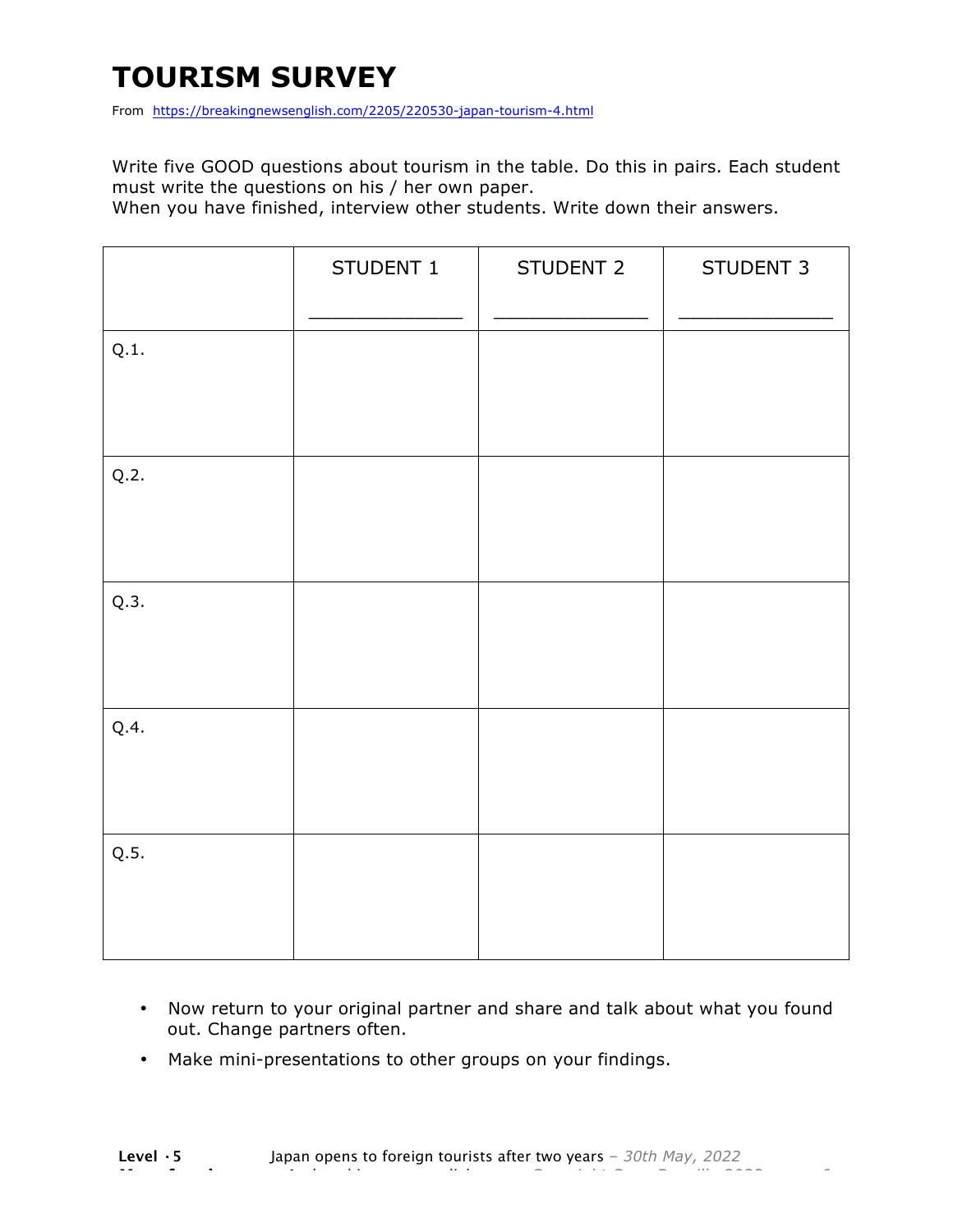## **TOURISM SURVEY**

From https://breakingnewsenglish.com/2205/220530-japan-tourism-4.html

Write five GOOD questions about tourism in the table. Do this in pairs. Each student must write the questions on his / her own paper.

When you have finished, interview other students. Write down their answers.

|      | STUDENT 1 | STUDENT 2 | STUDENT 3 |
|------|-----------|-----------|-----------|
| Q.1. |           |           |           |
| Q.2. |           |           |           |
| Q.3. |           |           |           |
| Q.4. |           |           |           |
| Q.5. |           |           |           |

- Now return to your original partner and share and talk about what you found out. Change partners often.
- Make mini-presentations to other groups on your findings.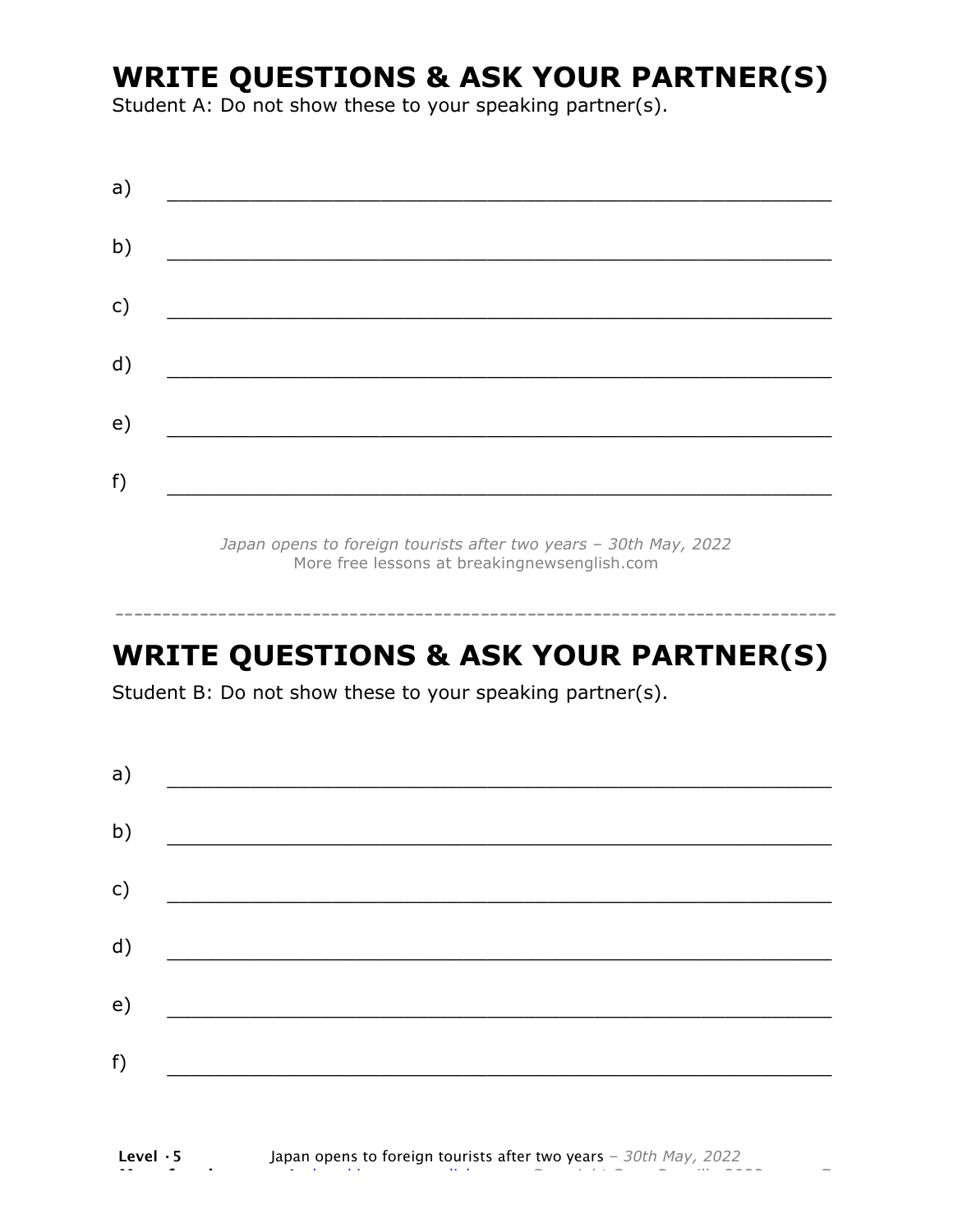## **WRITE QUESTIONS & ASK YOUR PARTNER(S)**

Student A: Do not show these to your speaking partner(s).

| a) |  |  |
|----|--|--|
| b) |  |  |
| c) |  |  |
| d) |  |  |
| e) |  |  |
| f) |  |  |
|    |  |  |

*Japan opens to foreign tourists after two years – 30th May, 2022* More free lessons at breakingnewsenglish.com

## **WRITE QUESTIONS & ASK YOUR PARTNER(S)**

-----------------------------------------------------------------------------

Student B: Do not show these to your speaking partner(s).

| a)            |  |  |
|---------------|--|--|
| b)            |  |  |
| $\mathsf{c})$ |  |  |
| d)            |  |  |
| e)            |  |  |
| f)            |  |  |
|               |  |  |